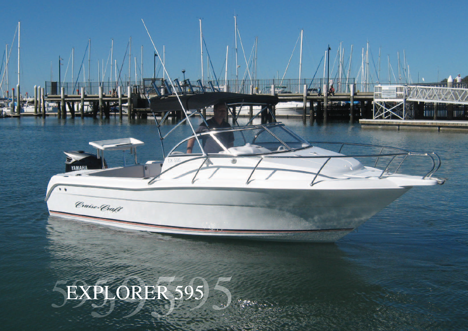